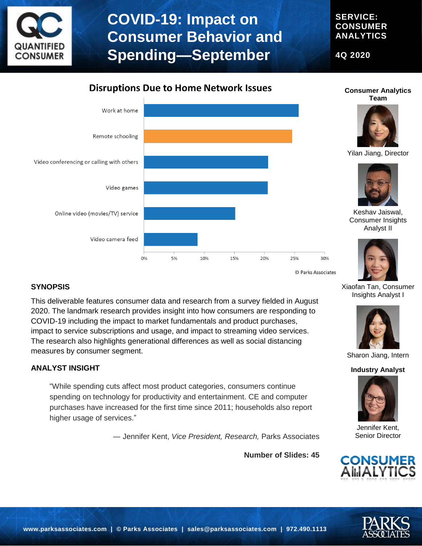

# **COVID-19: Impact on Consumer Behavior and Spending—September**

**4Q 2020**



#### **SYNOPSIS**

This deliverable features consumer data and research from a survey fielded in August 2020. The landmark research provides insight into how consumers are responding to COVID-19 including the impact to market fundamentals and product purchases, impact to service subscriptions and usage, and impact to streaming video services. The research also highlights generational differences as well as social distancing measures by consumer segment.

#### **ANALYST INSIGHT**

"While spending cuts affect most product categories, consumers continue spending on technology for productivity and entertainment. CE and computer purchases have increased for the first time since 2011; households also report higher usage of services."

― Jennifer Kent, *Vice President, Research,* Parks Associates

**Number of Slides: 45**



Sharon Jiang, Intern

Xiaofan Tan, Consumer Insights Analyst I

Jennifer Kent, Senior Director



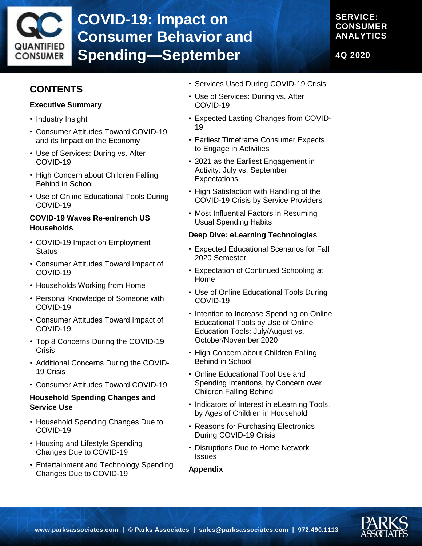

# **COVID-19: Impact on Consumer Behavior and Spending—September**

**SERVICE: CONSUMER ANALYTICS**

**4Q 2020**

## **CONTENTS**

#### **Executive Summary**

- Industry Insight
- Consumer Attitudes Toward COVID-19 and its Impact on the Economy
- Use of Services: During vs. After COVID-19
- High Concern about Children Falling Behind in School
- Use of Online Educational Tools During COVID-19

#### **COVID-19 Waves Re-entrench US Households**

- COVID-19 Impact on Employment **Status**
- Consumer Attitudes Toward Impact of COVID-19
- Households Working from Home
- Personal Knowledge of Someone with COVID-19
- Consumer Attitudes Toward Impact of COVID-19
- Top 8 Concerns During the COVID-19 **Crisis**
- Additional Concerns During the COVID-19 Crisis
- Consumer Attitudes Toward COVID-19

#### **Household Spending Changes and Service Use**

- Household Spending Changes Due to COVID-19
- Housing and Lifestyle Spending Changes Due to COVID-19
- Entertainment and Technology Spending Changes Due to COVID-19
- Services Used During COVID-19 Crisis
- Use of Services: During vs. After COVID-19
- Expected Lasting Changes from COVID-19
- Earliest Timeframe Consumer Expects to Engage in Activities
- 2021 as the Earliest Engagement in Activity: July vs. September **Expectations**
- High Satisfaction with Handling of the COVID-19 Crisis by Service Providers
- Most Influential Factors in Resuming Usual Spending Habits

#### **Deep Dive: eLearning Technologies**

- Expected Educational Scenarios for Fall 2020 Semester
- Expectation of Continued Schooling at Home
- Use of Online Educational Tools During COVID-19
- Intention to Increase Spending on Online Educational Tools by Use of Online Education Tools: July/August vs. October/November 2020
- High Concern about Children Falling Behind in School
- Online Educational Tool Use and Spending Intentions, by Concern over Children Falling Behind
- Indicators of Interest in eLearning Tools, by Ages of Children in Household
- Reasons for Purchasing Electronics During COVID-19 Crisis
- Disruptions Due to Home Network **Issues**

#### **Appendix**